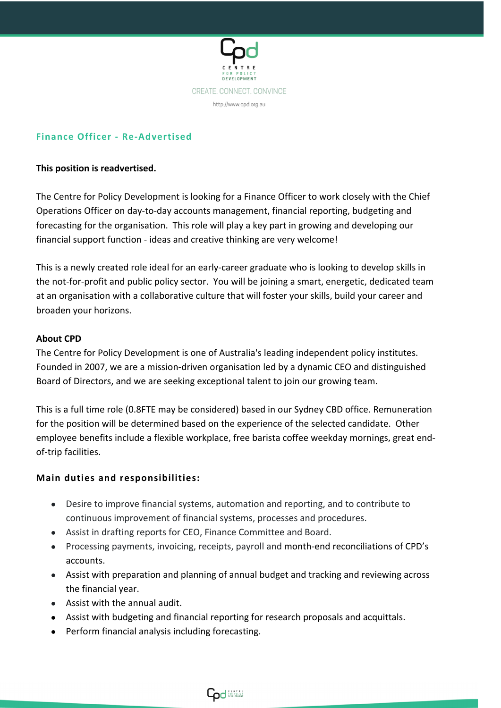

# **Finance Officer - Re-Advertised**

## **This position is readvertised.**

The Centre for Policy Development is looking for a Finance Officer to work closely with the Chief Operations Officer on day-to-day accounts management, financial reporting, budgeting and forecasting for the organisation. This role will play a key part in growing and developing our financial support function - ideas and creative thinking are very welcome!

This is a newly created role ideal for an early-career graduate who is looking to develop skills in the not-for-profit and public policy sector. You will be joining a smart, energetic, dedicated team at an organisation with a collaborative culture that will foster your skills, build your career and broaden your horizons.

## **About CPD**

The Centre for Policy Development is one of Australia's leading independent policy institutes. Founded in 2007, we are a mission-driven organisation led by a dynamic CEO and distinguished Board of Directors, and we are seeking exceptional talent to join our growing team.

This is a full time role (0.8FTE may be considered) based in our Sydney CBD office. Remuneration for the position will be determined based on the experience of the selected candidate. Other employee benefits include a flexible workplace, free barista coffee weekday mornings, great endof-trip facilities.

## **Main duties and responsibilities:**

- Desire to improve financial systems, automation and reporting, and to contribute to continuous improvement of financial systems, processes and procedures.
- Assist in drafting reports for CEO, Finance Committee and Board.
- Processing payments, invoicing, receipts, payroll and month-end reconciliations of CPD's accounts.
- Assist with preparation and planning of annual budget and tracking and reviewing across the financial year.
- Assist with the annual audit.
- Assist with budgeting and financial reporting for research proposals and acquittals.
- Perform financial analysis including forecasting.